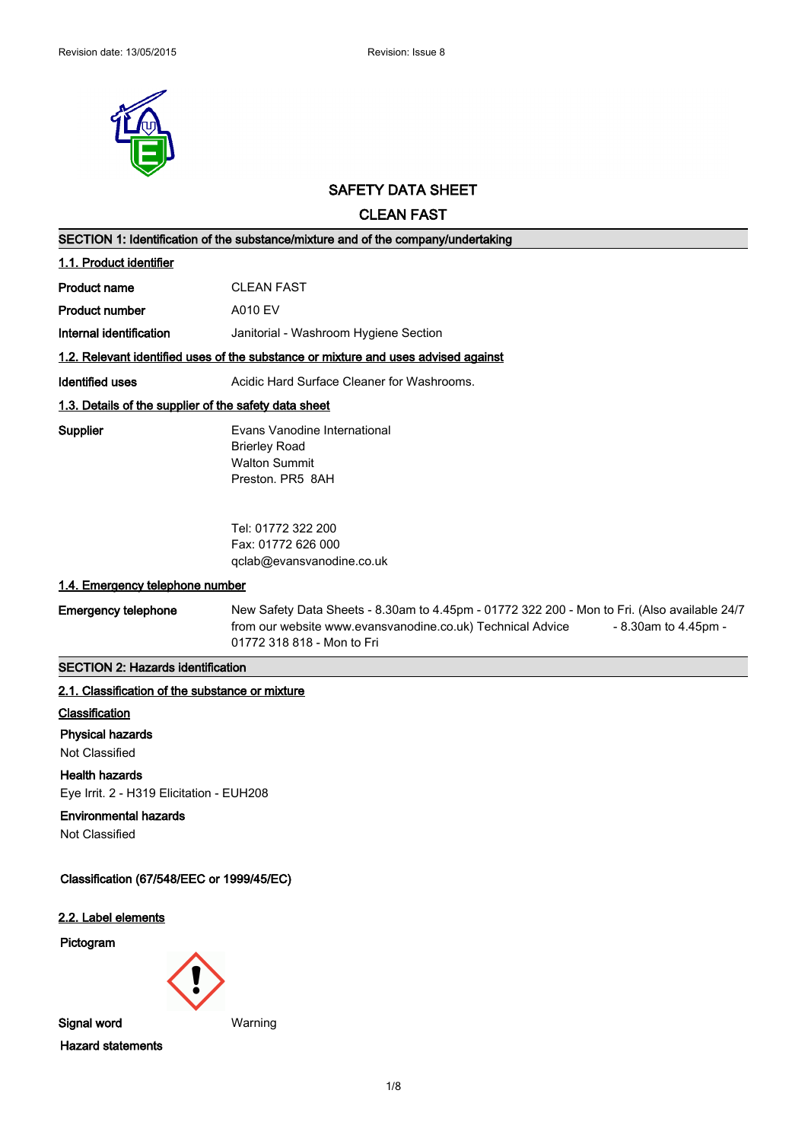

# **SAFETY DATA SHEET**

**CLEAN FAST**

|                                                                                   | -------                                                                                                                                                                                                          |  |  |  |
|-----------------------------------------------------------------------------------|------------------------------------------------------------------------------------------------------------------------------------------------------------------------------------------------------------------|--|--|--|
| SECTION 1: Identification of the substance/mixture and of the company/undertaking |                                                                                                                                                                                                                  |  |  |  |
| 1.1. Product identifier                                                           |                                                                                                                                                                                                                  |  |  |  |
| <b>Product name</b>                                                               | <b>CLEAN FAST</b>                                                                                                                                                                                                |  |  |  |
| <b>Product number</b>                                                             | A010 EV                                                                                                                                                                                                          |  |  |  |
| Internal identification                                                           | Janitorial - Washroom Hygiene Section                                                                                                                                                                            |  |  |  |
|                                                                                   | 1.2. Relevant identified uses of the substance or mixture and uses advised against                                                                                                                               |  |  |  |
| <b>Identified uses</b>                                                            | Acidic Hard Surface Cleaner for Washrooms.                                                                                                                                                                       |  |  |  |
| 1.3. Details of the supplier of the safety data sheet                             |                                                                                                                                                                                                                  |  |  |  |
| Supplier                                                                          | Evans Vanodine International<br><b>Brierley Road</b><br><b>Walton Summit</b><br>Preston, PR5 8AH<br>Tel: 01772 322 200<br>Fax: 01772 626 000<br>qclab@evansvanodine.co.uk                                        |  |  |  |
| 1.4. Emergency telephone number                                                   |                                                                                                                                                                                                                  |  |  |  |
| <b>Emergency telephone</b>                                                        | New Safety Data Sheets - 8.30am to 4.45pm - 01772 322 200 - Mon to Fri. (Also available 24/7<br>from our website www.evansvanodine.co.uk) Technical Advice<br>- 8.30am to 4.45pm -<br>01772 318 818 - Mon to Fri |  |  |  |
| <b>SECTION 2: Hazards identification</b>                                          |                                                                                                                                                                                                                  |  |  |  |
| 2.1. Classification of the substance or mixture                                   |                                                                                                                                                                                                                  |  |  |  |
| Classification                                                                    |                                                                                                                                                                                                                  |  |  |  |
| <b>Physical hazards</b>                                                           |                                                                                                                                                                                                                  |  |  |  |
| Not Classified                                                                    |                                                                                                                                                                                                                  |  |  |  |
| <b>Health hazards</b>                                                             |                                                                                                                                                                                                                  |  |  |  |
| Eye Irrit. 2 - H319 Elicitation - EUH208<br><b>Environmental hazards</b>          |                                                                                                                                                                                                                  |  |  |  |
| Not Classified                                                                    |                                                                                                                                                                                                                  |  |  |  |
| Classification (67/548/EEC or 1999/45/EC)                                         |                                                                                                                                                                                                                  |  |  |  |
| 2.2. Label elements                                                               |                                                                                                                                                                                                                  |  |  |  |
| Pictogram                                                                         |                                                                                                                                                                                                                  |  |  |  |
| Signal word                                                                       | Warning                                                                                                                                                                                                          |  |  |  |
| <b>Hazard statements</b>                                                          |                                                                                                                                                                                                                  |  |  |  |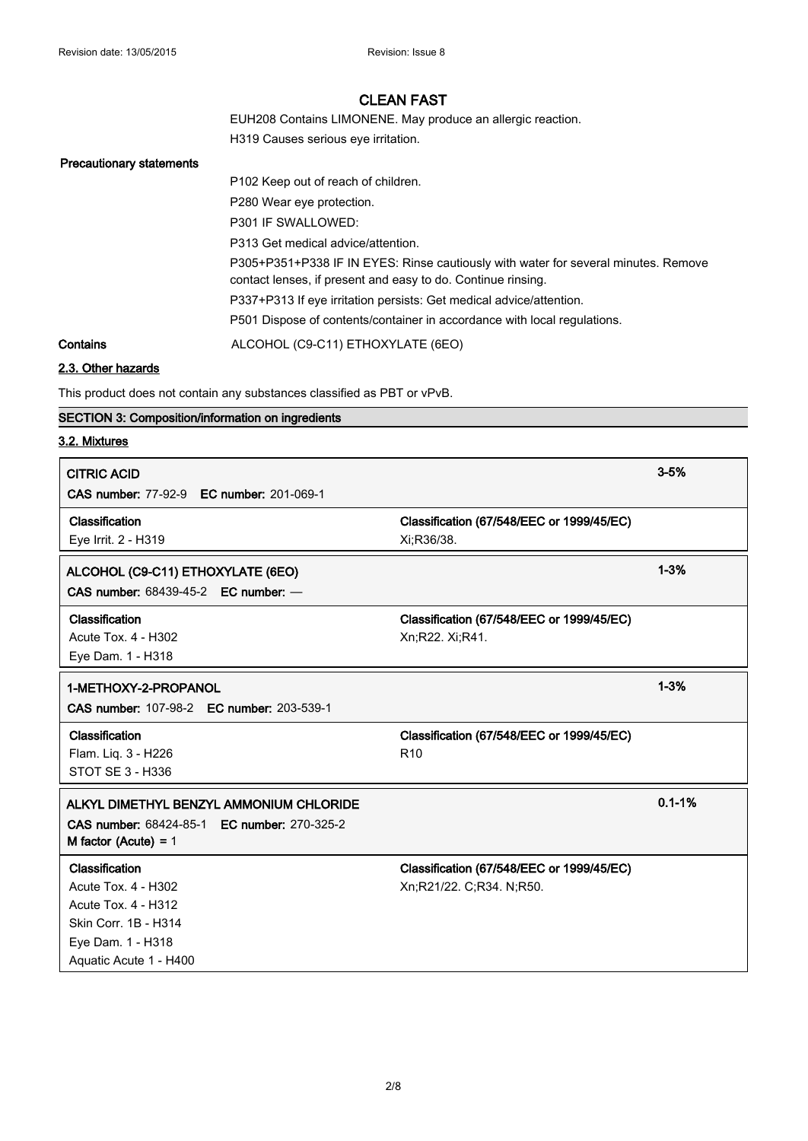EUH208 Contains LIMONENE. May produce an allergic reaction.

H319 Causes serious eye irritation.

# **Precautionary statements**

| P102 Keep out of reach of children.                                                                                                                |
|----------------------------------------------------------------------------------------------------------------------------------------------------|
| P280 Wear eye protection.                                                                                                                          |
| P301 IF SWALLOWED:                                                                                                                                 |
| P313 Get medical advice/attention.                                                                                                                 |
| P305+P351+P338 IF IN EYES: Rinse cautiously with water for several minutes. Remove<br>contact lenses, if present and easy to do. Continue rinsing. |
| P337+P313 If eye irritation persists: Get medical advice/attention.                                                                                |
| P501 Dispose of contents/container in accordance with local regulations.                                                                           |
| ALCOUOL (CO C11) ETUOVVI ATE (GEO)                                                                                                                 |

**Contains** ALCOHOL (C9-C11) ETHOXYLATE (6EO)

## **2.3. Other hazards**

This product does not contain any substances classified as PBT or vPvB.

# **SECTION 3: Composition/information on ingredients**

## **3.2. Mixtures**

| <b>CITRIC ACID</b>                                 |                                           | $3 - 5%$   |
|----------------------------------------------------|-------------------------------------------|------------|
| <b>CAS number: 77-92-9 EC number: 201-069-1</b>    |                                           |            |
| Classification                                     | Classification (67/548/EEC or 1999/45/EC) |            |
| Eye Irrit. 2 - H319                                | Xi;R36/38.                                |            |
| ALCOHOL (C9-C11) ETHOXYLATE (6EO)                  |                                           | $1 - 3%$   |
| <b>CAS number: 68439-45-2 EC number: -</b>         |                                           |            |
| Classification                                     | Classification (67/548/EEC or 1999/45/EC) |            |
| Acute Tox. 4 - H302                                | Xn;R22. Xi;R41.                           |            |
| Eye Dam. 1 - H318                                  |                                           |            |
| 1-METHOXY-2-PROPANOL                               |                                           | $1 - 3%$   |
| <b>CAS number: 107-98-2 EC number: 203-539-1</b>   |                                           |            |
| Classification                                     | Classification (67/548/EEC or 1999/45/EC) |            |
| Flam. Liq. 3 - H226                                | R <sub>10</sub>                           |            |
| STOT SE 3 - H336                                   |                                           |            |
| ALKYL DIMETHYL BENZYL AMMONIUM CHLORIDE            |                                           | $0.1 - 1%$ |
| <b>CAS number: 68424-85-1 EC number: 270-325-2</b> |                                           |            |
| M factor (Acute) = $1$                             |                                           |            |
| Classification                                     | Classification (67/548/EEC or 1999/45/EC) |            |
| Acute Tox. 4 - H302                                | Xn;R21/22. C;R34. N;R50.                  |            |
| <b>Acute Tox. 4 - H312</b>                         |                                           |            |
| Skin Corr. 1B - H314                               |                                           |            |
| Eye Dam. 1 - H318                                  |                                           |            |
| Aquatic Acute 1 - H400                             |                                           |            |
|                                                    |                                           |            |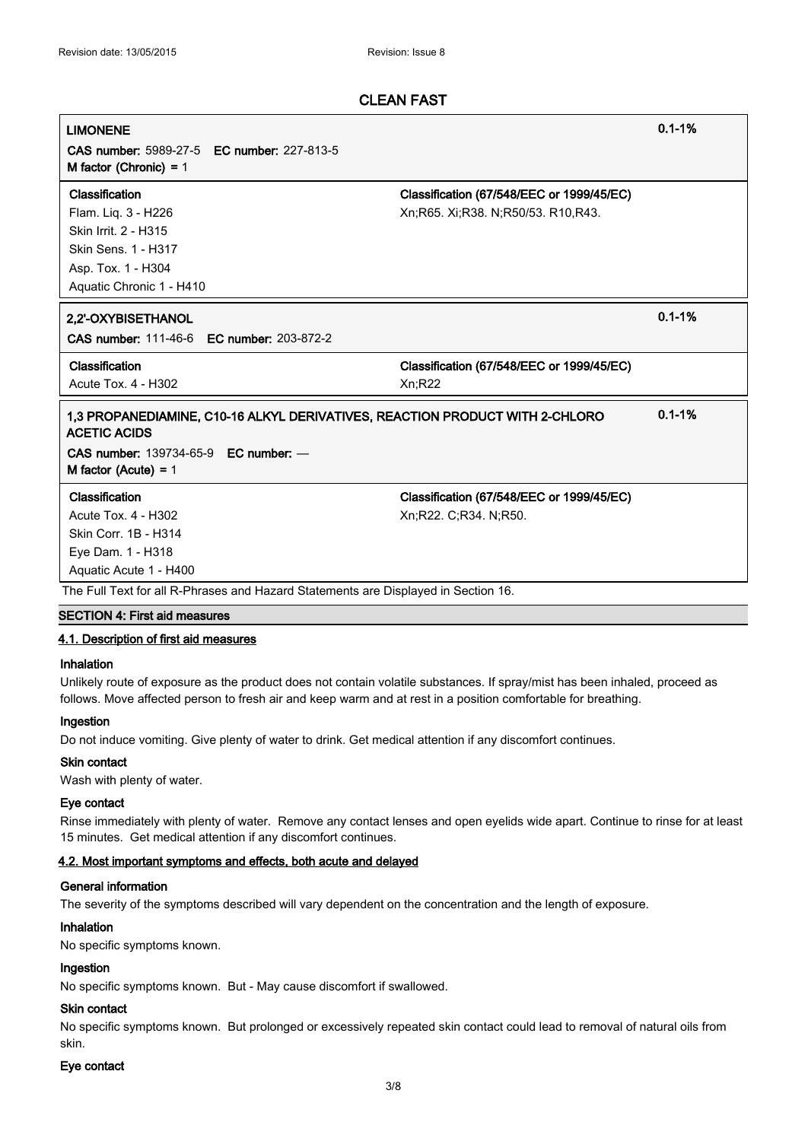| <b>LIMONENE</b>                                                                                     |                                           | $0.1 - 1%$ |
|-----------------------------------------------------------------------------------------------------|-------------------------------------------|------------|
| CAS number: 5989-27-5  EC number: 227-813-5<br>M factor (Chronic) = $1$                             |                                           |            |
| Classification                                                                                      | Classification (67/548/EEC or 1999/45/EC) |            |
| Flam. Lig. 3 - H226                                                                                 | Xn;R65. Xi;R38. N;R50/53. R10,R43.        |            |
| Skin Irrit. 2 - H315                                                                                |                                           |            |
| Skin Sens. 1 - H317                                                                                 |                                           |            |
| Asp. Tox. 1 - H304                                                                                  |                                           |            |
| Aquatic Chronic 1 - H410                                                                            |                                           |            |
| 2,2'-OXYBISETHANOL                                                                                  |                                           | $0.1 - 1%$ |
| CAS number: 111-46-6 EC number: 203-872-2                                                           |                                           |            |
| Classification                                                                                      | Classification (67/548/EEC or 1999/45/EC) |            |
| Acute Tox. 4 - H302                                                                                 | Xn; R22                                   |            |
| 1,3 PROPANEDIAMINE, C10-16 ALKYL DERIVATIVES, REACTION PRODUCT WITH 2-CHLORO<br><b>ACETIC ACIDS</b> |                                           | $0.1 - 1%$ |
| <b>CAS number: 139734-65-9 EC number: -</b><br>M factor (Acute) = $1$                               |                                           |            |
| Classification                                                                                      | Classification (67/548/EEC or 1999/45/EC) |            |
| <b>Acute Tox. 4 - H302</b>                                                                          | Xn;R22. C;R34. N;R50.                     |            |
| Skin Corr. 1B - H314                                                                                |                                           |            |
| Eye Dam. 1 - H318                                                                                   |                                           |            |
| Aquatic Acute 1 - H400                                                                              |                                           |            |
| The Full Text for all R-Phrases and Hazard Statements are Displayed in Section 16.                  |                                           |            |
| <b>SECTION 4: First aid measures</b>                                                                |                                           |            |

#### **4.1. Description of first aid measures**

#### **Inhalation**

Unlikely route of exposure as the product does not contain volatile substances. If spray/mist has been inhaled, proceed as follows. Move affected person to fresh air and keep warm and at rest in a position comfortable for breathing.

#### **Ingestion**

Do not induce vomiting. Give plenty of water to drink. Get medical attention if any discomfort continues.

#### **Skin contact**

Wash with plenty of water.

#### **Eye contact**

Rinse immediately with plenty of water. Remove any contact lenses and open eyelids wide apart. Continue to rinse for at least 15 minutes. Get medical attention if any discomfort continues.

## **4.2. Most important symptoms and effects, both acute and delayed**

## **General information**

The severity of the symptoms described will vary dependent on the concentration and the length of exposure.

#### **Inhalation**

No specific symptoms known.

#### **Ingestion**

No specific symptoms known. But - May cause discomfort if swallowed.

#### **Skin contact**

No specific symptoms known. But prolonged or excessively repeated skin contact could lead to removal of natural oils from skin.

#### **Eye contact**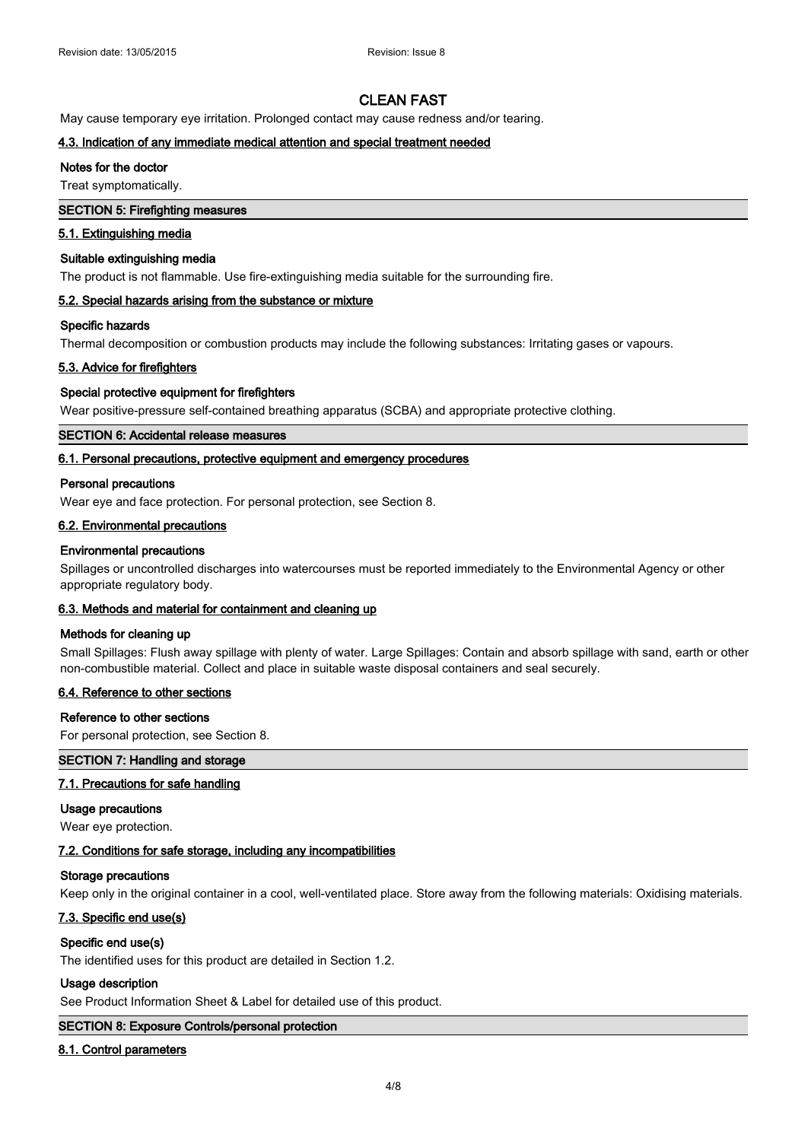May cause temporary eye irritation. Prolonged contact may cause redness and/or tearing.

## **4.3. Indication of any immediate medical attention and special treatment needed**

#### **Notes for the doctor**

Treat symptomatically.

#### **SECTION 5: Firefighting measures**

## **5.1. Extinguishing media**

## **Suitable extinguishing media**

The product is not flammable. Use fire-extinguishing media suitable for the surrounding fire.

## **5.2. Special hazards arising from the substance or mixture**

#### **Specific hazards**

Thermal decomposition or combustion products may include the following substances: Irritating gases or vapours.

#### **5.3. Advice for firefighters**

#### **Special protective equipment for firefighters**

Wear positive-pressure self-contained breathing apparatus (SCBA) and appropriate protective clothing.

## **SECTION 6: Accidental release measures**

#### **6.1. Personal precautions, protective equipment and emergency procedures**

#### **Personal precautions**

Wear eye and face protection. For personal protection, see Section 8.

#### **6.2. Environmental precautions**

#### **Environmental precautions**

Spillages or uncontrolled discharges into watercourses must be reported immediately to the Environmental Agency or other appropriate regulatory body.

#### **6.3. Methods and material for containment and cleaning up**

#### **Methods for cleaning up**

Small Spillages: Flush away spillage with plenty of water. Large Spillages: Contain and absorb spillage with sand, earth or other non-combustible material. Collect and place in suitable waste disposal containers and seal securely.

## **6.4. Reference to other sections**

#### **Reference to other sections**

For personal protection, see Section 8.

### **SECTION 7: Handling and storage**

## **7.1. Precautions for safe handling**

## **Usage precautions**

Wear eye protection.

#### **7.2. Conditions for safe storage, including any incompatibilities**

#### **Storage precautions**

Keep only in the original container in a cool, well-ventilated place. Store away from the following materials: Oxidising materials.

### **7.3. Specific end use(s)**

#### **Specific end use(s)**

The identified uses for this product are detailed in Section 1.2.

#### **Usage description**

See Product Information Sheet & Label for detailed use of this product.

#### **SECTION 8: Exposure Controls/personal protection**

## **8.1. Control parameters**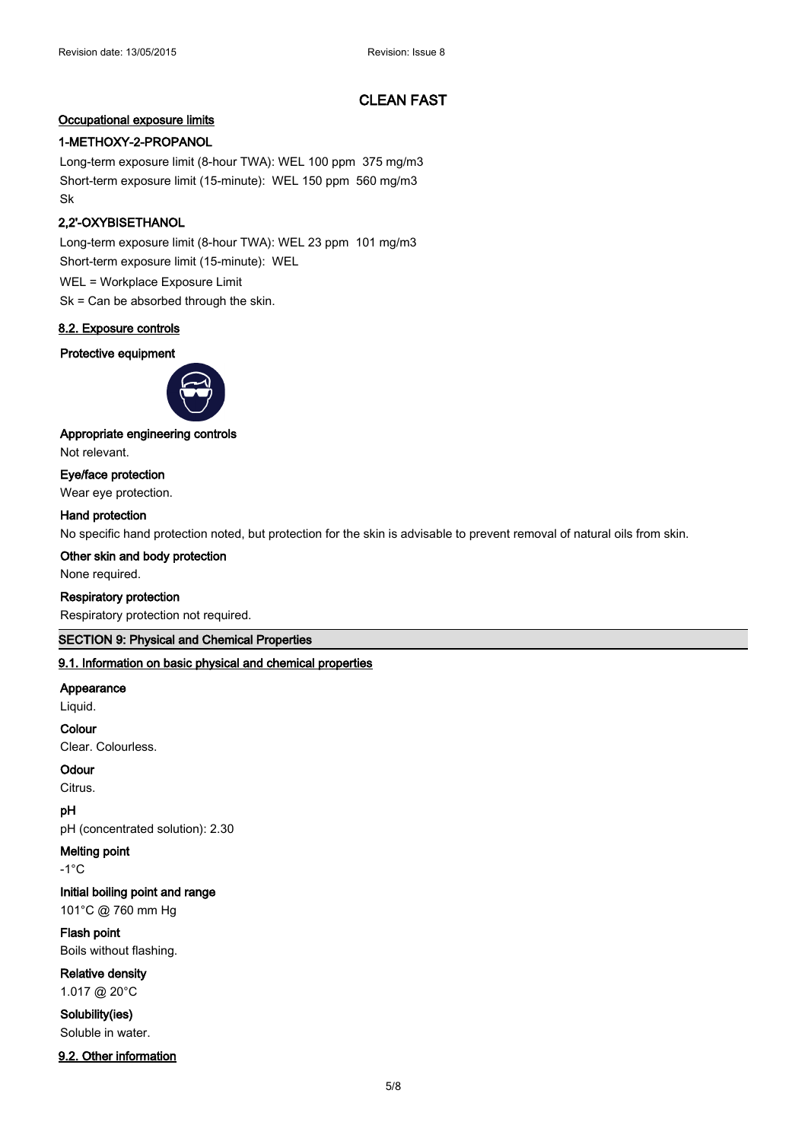## **Occupational exposure limits**

# **1-METHOXY-2-PROPANOL**

Long-term exposure limit (8-hour TWA): WEL 100 ppm 375 mg/m3 Short-term exposure limit (15-minute): WEL 150 ppm 560 mg/m3 Sk

## **2,2'-OXYBISETHANOL**

Long-term exposure limit (8-hour TWA): WEL 23 ppm 101 mg/m3 Short-term exposure limit (15-minute): WEL

WEL = Workplace Exposure Limit

Sk = Can be absorbed through the skin.

## **8.2. Exposure controls**

#### **Protective equipment**



## **Appropriate engineering controls**

Not relevant.

**Eye/face protection**

Wear eye protection.

## **Hand protection**

No specific hand protection noted, but protection for the skin is advisable to prevent removal of natural oils from skin.

## **Other skin and body protection**

None required.

#### **Respiratory protection**

Respiratory protection not required.

## **SECTION 9: Physical and Chemical Properties**

## **9.1. Information on basic physical and chemical properties**

## **Appearance**

Liquid.

#### **Colour**

Clear. Colourless.

## **Odour**

Citrus.

## **pH**

pH (concentrated solution): 2.30

## **Melting point**

-1°C

**Initial boiling point and range** 101°C @ 760 mm Hg

# **Flash point**

Boils without flashing.

# **Relative density**

1.017 @ 20°C

# **Solubility(ies)**

Soluble in water.

## **9.2. Other information**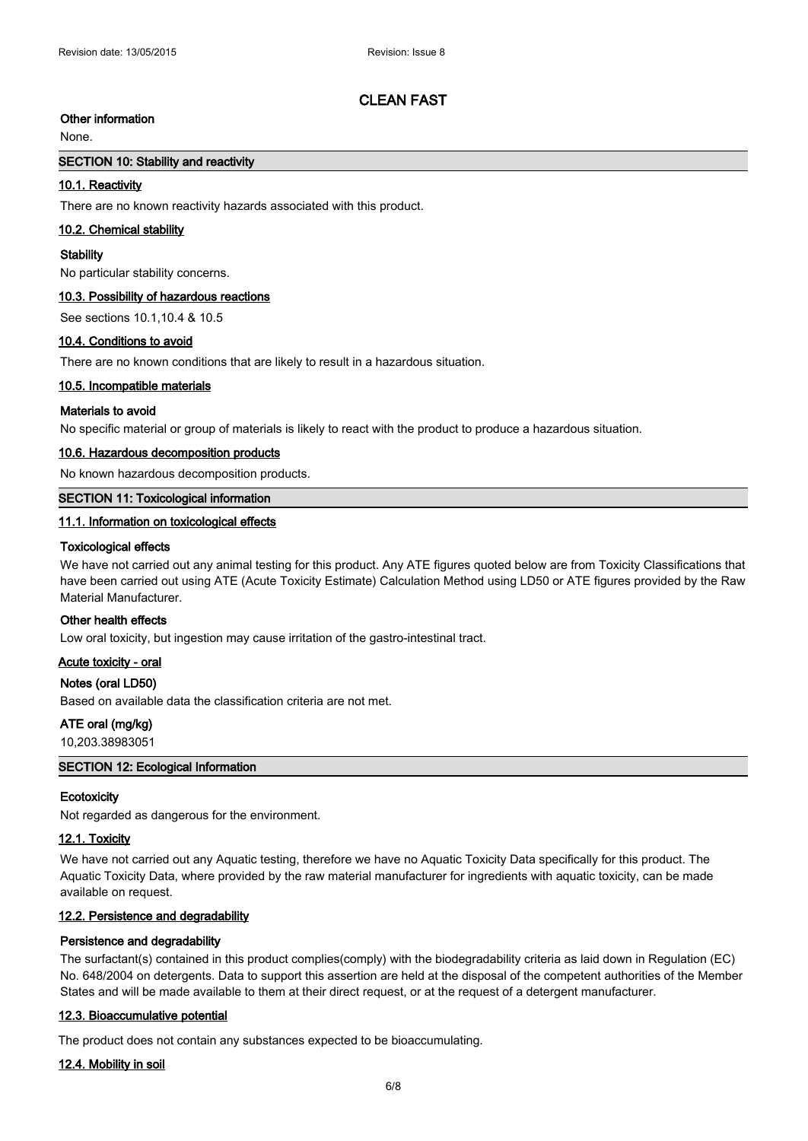## **Other information**

None.

## **SECTION 10: Stability and reactivity**

### **10.1. Reactivity**

There are no known reactivity hazards associated with this product.

## **10.2. Chemical stability**

### **Stability**

No particular stability concerns.

## **10.3. Possibility of hazardous reactions**

See sections 10.1,10.4 & 10.5

## **10.4. Conditions to avoid**

There are no known conditions that are likely to result in a hazardous situation.

## **10.5. Incompatible materials**

#### **Materials to avoid**

No specific material or group of materials is likely to react with the product to produce a hazardous situation.

## **10.6. Hazardous decomposition products**

No known hazardous decomposition products.

#### **SECTION 11: Toxicological information**

## **11.1. Information on toxicological effects**

## **Toxicological effects**

We have not carried out any animal testing for this product. Any ATE figures quoted below are from Toxicity Classifications that have been carried out using ATE (Acute Toxicity Estimate) Calculation Method using LD50 or ATE figures provided by the Raw Material Manufacturer.

#### **Other health effects**

Low oral toxicity, but ingestion may cause irritation of the gastro-intestinal tract.

## **Acute toxicity - oral**

## **Notes (oral LD50)**

Based on available data the classification criteria are not met.

#### **ATE oral (mg/kg)**

10,203.38983051

### **SECTION 12: Ecological Information**

#### **Ecotoxicity**

Not regarded as dangerous for the environment.

#### **12.1. Toxicity**

We have not carried out any Aquatic testing, therefore we have no Aquatic Toxicity Data specifically for this product. The Aquatic Toxicity Data, where provided by the raw material manufacturer for ingredients with aquatic toxicity, can be made available on request.

#### **12.2. Persistence and degradability**

#### **Persistence and degradability**

The surfactant(s) contained in this product complies(comply) with the biodegradability criteria as laid down in Regulation (EC) No. 648/2004 on detergents. Data to support this assertion are held at the disposal of the competent authorities of the Member States and will be made available to them at their direct request, or at the request of a detergent manufacturer.

## **12.3. Bioaccumulative potential**

The product does not contain any substances expected to be bioaccumulating.

#### **12.4. Mobility in soil**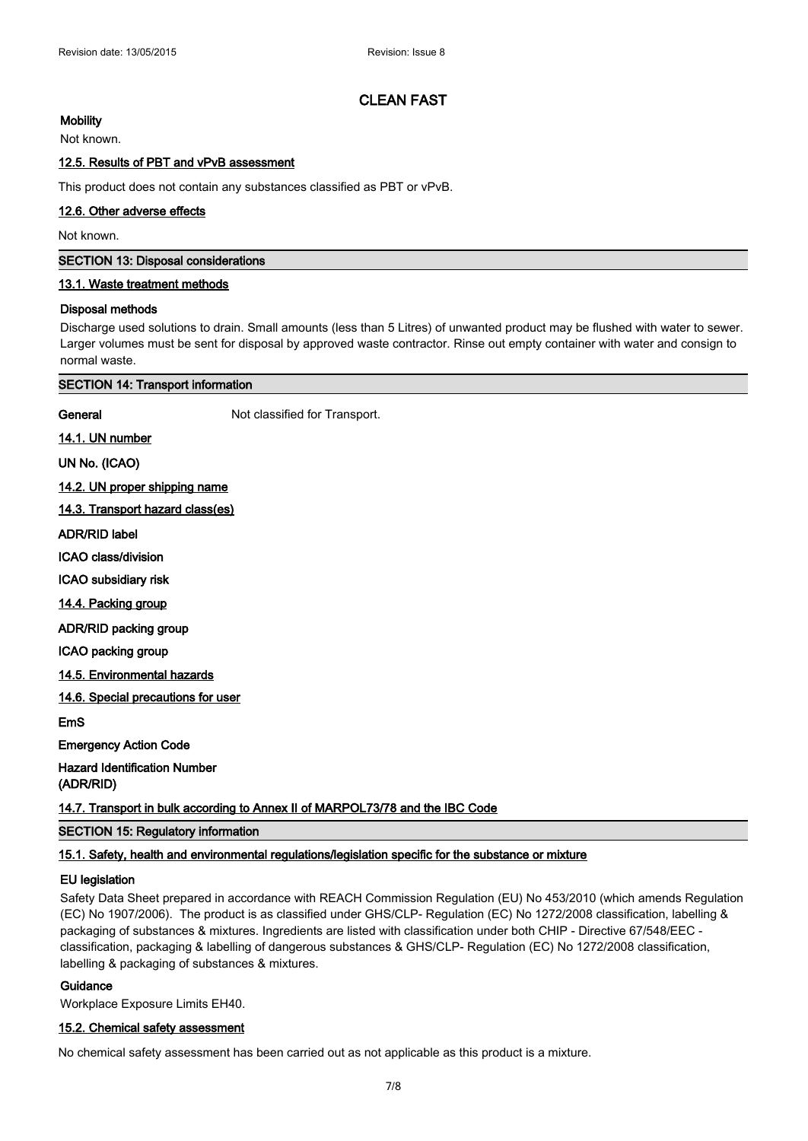## **Mobility**

Not known.

## **12.5. Results of PBT and vPvB assessment**

This product does not contain any substances classified as PBT or vPvB.

## **12.6. Other adverse effects**

Not known.

# **SECTION 13: Disposal considerations**

## **13.1. Waste treatment methods**

#### **Disposal methods**

Discharge used solutions to drain. Small amounts (less than 5 Litres) of unwanted product may be flushed with water to sewer. Larger volumes must be sent for disposal by approved waste contractor. Rinse out empty container with water and consign to normal waste.

| <b>SECTION 14: Transport information</b>         |                                                                               |  |
|--------------------------------------------------|-------------------------------------------------------------------------------|--|
| General                                          | Not classified for Transport.                                                 |  |
| 14.1. UN number                                  |                                                                               |  |
| UN No. (ICAO)                                    |                                                                               |  |
| 14.2. UN proper shipping name                    |                                                                               |  |
| 14.3. Transport hazard class(es)                 |                                                                               |  |
| <b>ADR/RID label</b>                             |                                                                               |  |
| <b>ICAO class/division</b>                       |                                                                               |  |
| ICAO subsidiary risk                             |                                                                               |  |
| 14.4. Packing group                              |                                                                               |  |
| <b>ADR/RID packing group</b>                     |                                                                               |  |
| ICAO packing group                               |                                                                               |  |
| 14.5. Environmental hazards                      |                                                                               |  |
| 14.6. Special precautions for user               |                                                                               |  |
| EmS                                              |                                                                               |  |
| <b>Emergency Action Code</b>                     |                                                                               |  |
| <b>Hazard Identification Number</b><br>(ADR/RID) |                                                                               |  |
|                                                  | 14.7. Transport in bulk according to Annex II of MARPOL73/78 and the IBC Code |  |
|                                                  |                                                                               |  |

## **SECTION 15: Regulatory information**

## **15.1. Safety, health and environmental regulations/legislation specific for the substance or mixture**

#### **EU legislation**

Safety Data Sheet prepared in accordance with REACH Commission Regulation (EU) No 453/2010 (which amends Regulation (EC) No 1907/2006). The product is as classified under GHS/CLP- Regulation (EC) No 1272/2008 classification, labelling & packaging of substances & mixtures. Ingredients are listed with classification under both CHIP - Directive 67/548/EEC classification, packaging & labelling of dangerous substances & GHS/CLP- Regulation (EC) No 1272/2008 classification, labelling & packaging of substances & mixtures.

## **Guidance**

Workplace Exposure Limits EH40.

#### **15.2. Chemical safety assessment**

No chemical safety assessment has been carried out as not applicable as this product is a mixture.